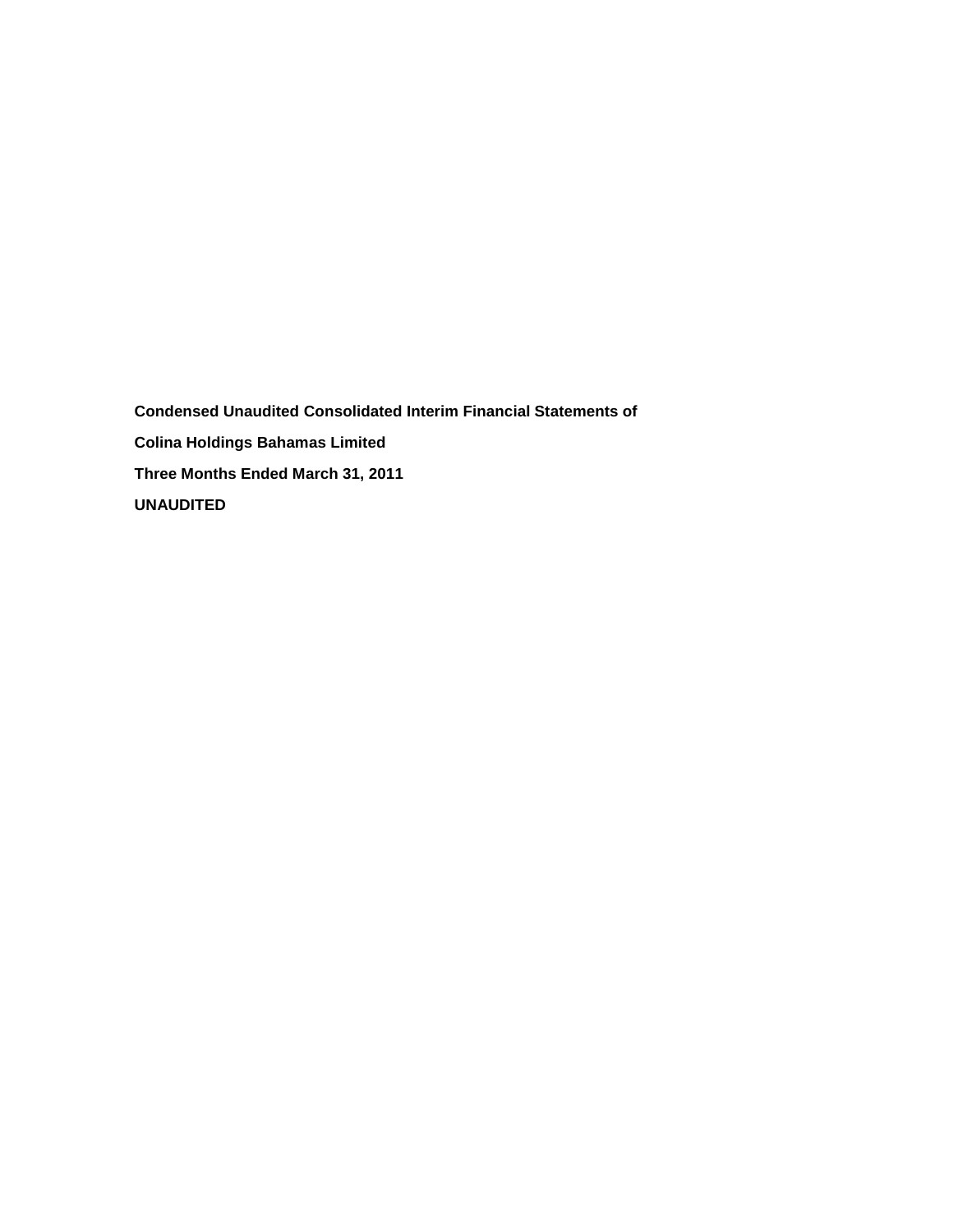**Condensed Unaudited Consolidated Interim Financial Statements of Colina Holdings Bahamas Limited Three Months Ended March 31, 2011 UNAUDITED**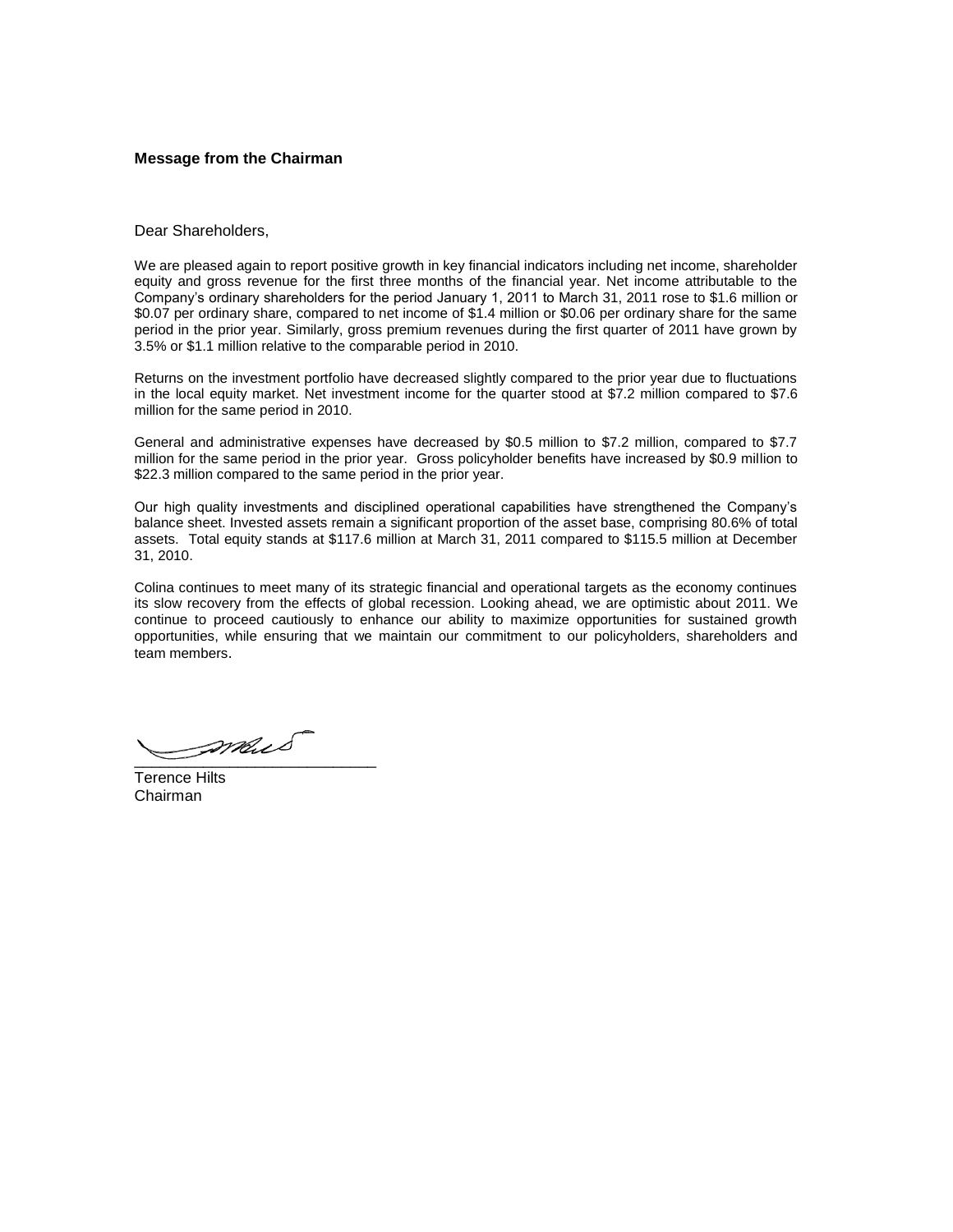#### **Message from the Chairman**

#### Dear Shareholders,

We are pleased again to report positive growth in key financial indicators including net income, shareholder equity and gross revenue for the first three months of the financial year. Net income attributable to the Company's ordinary shareholders for the period January 1, 2011 to March 31, 2011 rose to \$1.6 million or \$0.07 per ordinary share, compared to net income of \$1.4 million or \$0.06 per ordinary share for the same period in the prior year. Similarly, gross premium revenues during the first quarter of 2011 have grown by 3.5% or \$1.1 million relative to the comparable period in 2010.

Returns on the investment portfolio have decreased slightly compared to the prior year due to fluctuations in the local equity market. Net investment income for the quarter stood at \$7.2 million compared to \$7.6 million for the same period in 2010.

General and administrative expenses have decreased by \$0.5 million to \$7.2 million, compared to \$7.7 million for the same period in the prior year. Gross policyholder benefits have increased by \$0.9 million to \$22.3 million compared to the same period in the prior year.

Our high quality investments and disciplined operational capabilities have strengthened the Company's balance sheet. Invested assets remain a significant proportion of the asset base, comprising 80.6% of total assets. Total equity stands at \$117.6 million at March 31, 2011 compared to \$115.5 million at December 31, 2010.

Colina continues to meet many of its strategic financial and operational targets as the economy continues its slow recovery from the effects of global recession. Looking ahead, we are optimistic about 2011. We continue to proceed cautiously to enhance our ability to maximize opportunities for sustained growth opportunities, while ensuring that we maintain our commitment to our policyholders, shareholders and team members.

 $\overline{\phantom{a}}$ 

Terence Hilts Chairman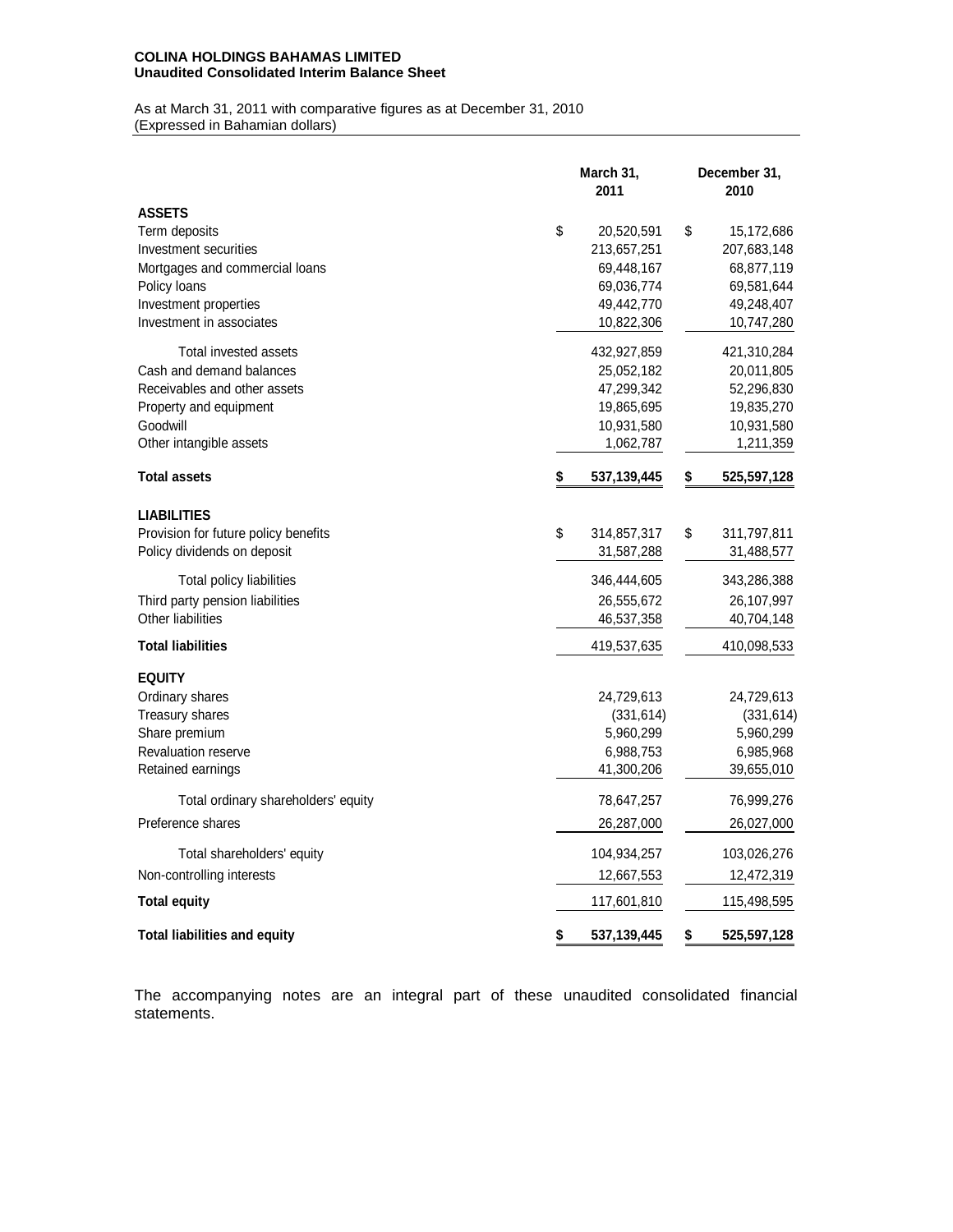### **COLINA HOLDINGS BAHAMAS LIMITED Unaudited Consolidated Interim Balance Sheet**

As at March 31, 2011 with comparative figures as at December 31, 2010 (Expressed in Bahamian dollars)

|                                      | March 31,<br>2011 | December 31,<br>2010 |
|--------------------------------------|-------------------|----------------------|
| <b>ASSETS</b>                        |                   |                      |
| Term deposits                        | \$<br>20,520,591  | \$<br>15,172,686     |
| Investment securities                | 213,657,251       | 207,683,148          |
| Mortgages and commercial loans       | 69,448,167        | 68,877,119           |
| Policy loans                         | 69,036,774        | 69,581,644           |
| Investment properties                | 49,442,770        | 49,248,407           |
| Investment in associates             | 10,822,306        | 10,747,280           |
| Total invested assets                | 432,927,859       | 421,310,284          |
| Cash and demand balances             | 25,052,182        | 20,011,805           |
| Receivables and other assets         | 47,299,342        | 52,296,830           |
| Property and equipment               | 19,865,695        | 19,835,270           |
| Goodwill                             | 10,931,580        | 10,931,580           |
| Other intangible assets              | 1,062,787         | 1,211,359            |
| <b>Total assets</b>                  | \$<br>537,139,445 | \$<br>525,597,128    |
| <b>LIABILITIES</b>                   |                   |                      |
| Provision for future policy benefits | \$<br>314,857,317 | \$<br>311,797,811    |
| Policy dividends on deposit          | 31,587,288        | 31,488,577           |
| Total policy liabilities             | 346,444,605       | 343,286,388          |
| Third party pension liabilities      | 26,555,672        | 26,107,997           |
| Other liabilities                    | 46,537,358        | 40,704,148           |
| <b>Total liabilities</b>             | 419,537,635       | 410,098,533          |
| <b>EQUITY</b>                        |                   |                      |
| Ordinary shares                      | 24,729,613        | 24,729,613           |
| Treasury shares                      | (331, 614)        | (331, 614)           |
| Share premium                        | 5,960,299         | 5,960,299            |
| <b>Revaluation reserve</b>           | 6,988,753         | 6,985,968            |
| Retained earnings                    | 41,300,206        | 39,655,010           |
| Total ordinary shareholders' equity  | 78,647,257        | 76,999,276           |
| Preference shares                    | 26,287,000        | 26,027,000           |
| Total shareholders' equity           | 104,934,257       | 103,026,276          |
| Non-controlling interests            | 12,667,553        | 12,472,319           |
| <b>Total equity</b>                  | 117,601,810       | 115,498,595          |
| <b>Total liabilities and equity</b>  | \$<br>537,139,445 | \$<br>525,597,128    |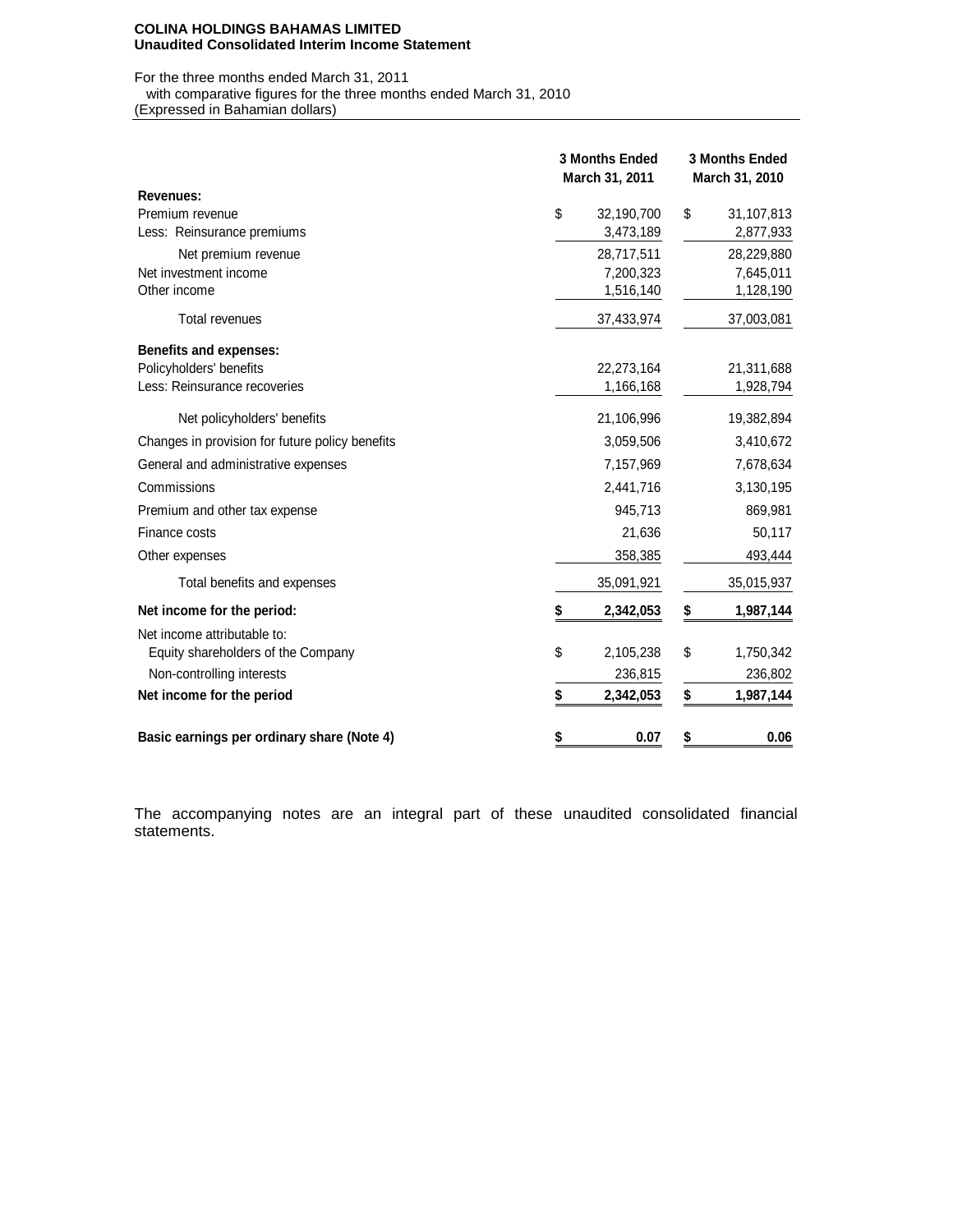#### **COLINA HOLDINGS BAHAMAS LIMITED Unaudited Consolidated Interim Income Statement**

For the three months ended March 31, 2011 with comparative figures for the three months ended March 31, 2010

(Expressed in Bahamian dollars)

|                                                 | 3 Months Ended<br>March 31, 2011 | <b>3 Months Ended</b><br>March 31, 2010 |  |  |  |
|-------------------------------------------------|----------------------------------|-----------------------------------------|--|--|--|
| <b>Revenues:</b>                                |                                  |                                         |  |  |  |
| Premium revenue                                 | \$<br>32,190,700                 | \$<br>31,107,813                        |  |  |  |
| Less: Reinsurance premiums                      | 3,473,189                        | 2,877,933                               |  |  |  |
| Net premium revenue                             | 28,717,511                       | 28,229,880                              |  |  |  |
| Net investment income                           | 7,200,323                        | 7,645,011                               |  |  |  |
| Other income                                    | 1,516,140                        | 1,128,190                               |  |  |  |
| <b>Total revenues</b>                           | 37,433,974                       | 37,003,081                              |  |  |  |
| <b>Benefits and expenses:</b>                   |                                  |                                         |  |  |  |
| Policyholders' benefits                         | 22,273,164                       | 21,311,688                              |  |  |  |
| Less: Reinsurance recoveries                    | 1,166,168                        | 1,928,794                               |  |  |  |
| Net policyholders' benefits                     | 21,106,996                       | 19,382,894                              |  |  |  |
| Changes in provision for future policy benefits | 3,059,506                        | 3,410,672                               |  |  |  |
| General and administrative expenses             | 7,157,969                        | 7,678,634                               |  |  |  |
| Commissions                                     | 2,441,716                        | 3,130,195                               |  |  |  |
| Premium and other tax expense                   | 945,713                          | 869,981                                 |  |  |  |
| Finance costs                                   | 21,636                           | 50,117                                  |  |  |  |
| Other expenses                                  | 358,385                          | 493,444                                 |  |  |  |
| Total benefits and expenses                     | 35,091,921                       | 35,015,937                              |  |  |  |
| Net income for the period:                      | 2,342,053<br>\$                  | 1,987,144<br>\$                         |  |  |  |
| Net income attributable to:                     |                                  |                                         |  |  |  |
| Equity shareholders of the Company              | \$<br>2,105,238                  | \$<br>1,750,342                         |  |  |  |
| Non-controlling interests                       | 236,815                          | 236,802                                 |  |  |  |
| Net income for the period                       | \$<br>2,342,053                  | \$<br>1,987,144                         |  |  |  |
| Basic earnings per ordinary share (Note 4)      | \$<br>0.07                       | \$<br>0.06                              |  |  |  |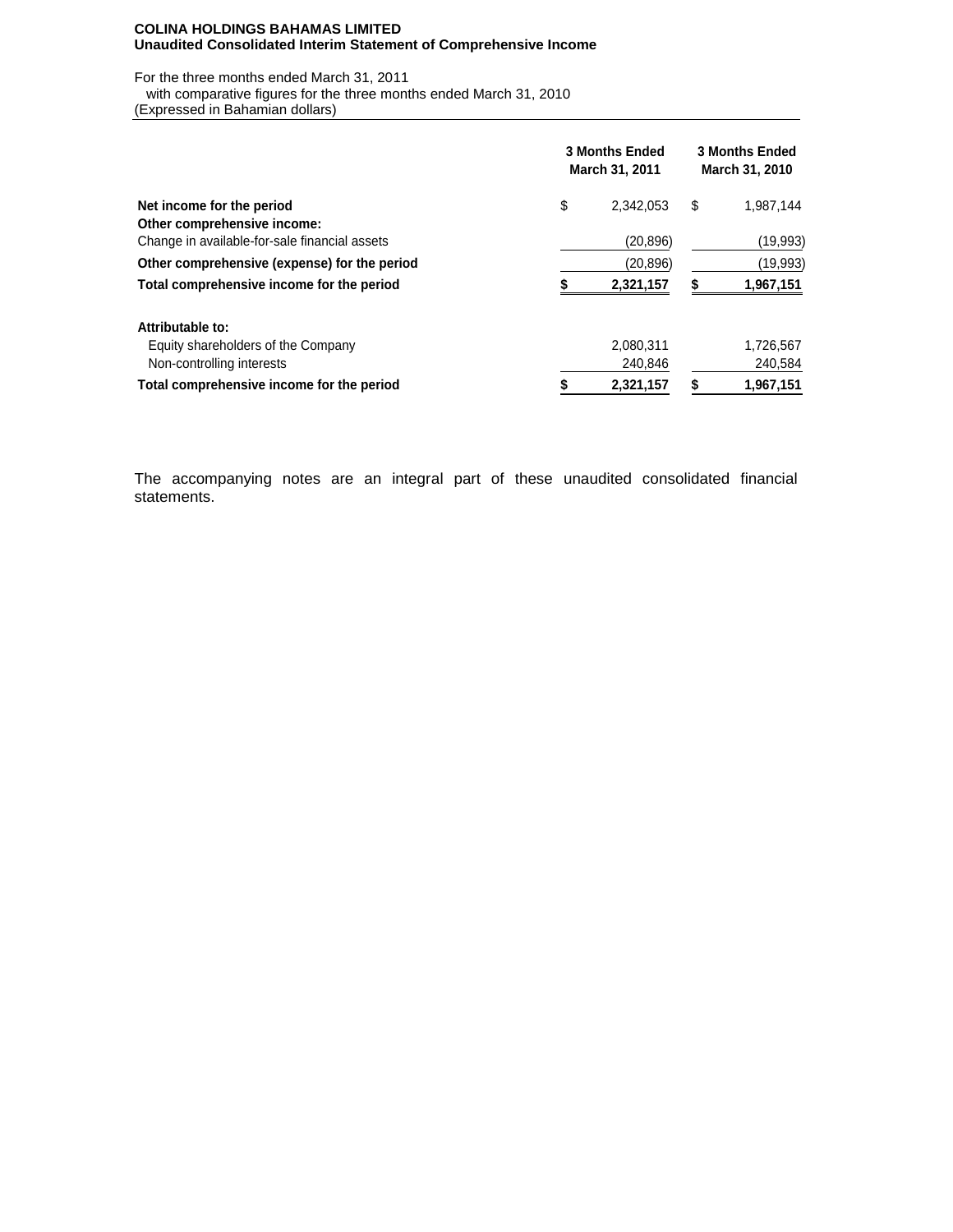#### **COLINA HOLDINGS BAHAMAS LIMITED Unaudited Consolidated Interim Statement of Comprehensive Income**

For the three months ended March 31, 2011

with comparative figures for the three months ended March 31, 2010

(Expressed in Bahamian dollars)

|                                                                              | <b>3 Months Ended</b><br>March 31, 2011 | <b>3 Months Ended</b><br>March 31, 2010 |    |           |  |
|------------------------------------------------------------------------------|-----------------------------------------|-----------------------------------------|----|-----------|--|
| Net income for the period                                                    | \$                                      | 2.342.053                               | \$ | 1.987.144 |  |
| Other comprehensive income:<br>Change in available-for-sale financial assets |                                         | (20, 896)                               |    | (19,993)  |  |
| Other comprehensive (expense) for the period                                 |                                         | (20,896)                                |    | (19,993)  |  |
| Total comprehensive income for the period                                    |                                         | 2,321,157                               |    | 1,967,151 |  |
| Attributable to:                                                             |                                         |                                         |    |           |  |
| Equity shareholders of the Company                                           |                                         | 2,080,311                               |    | 1,726,567 |  |
| Non-controlling interests                                                    |                                         | 240,846                                 |    | 240,584   |  |
| Total comprehensive income for the period                                    |                                         | 2,321,157                               |    | 1,967,151 |  |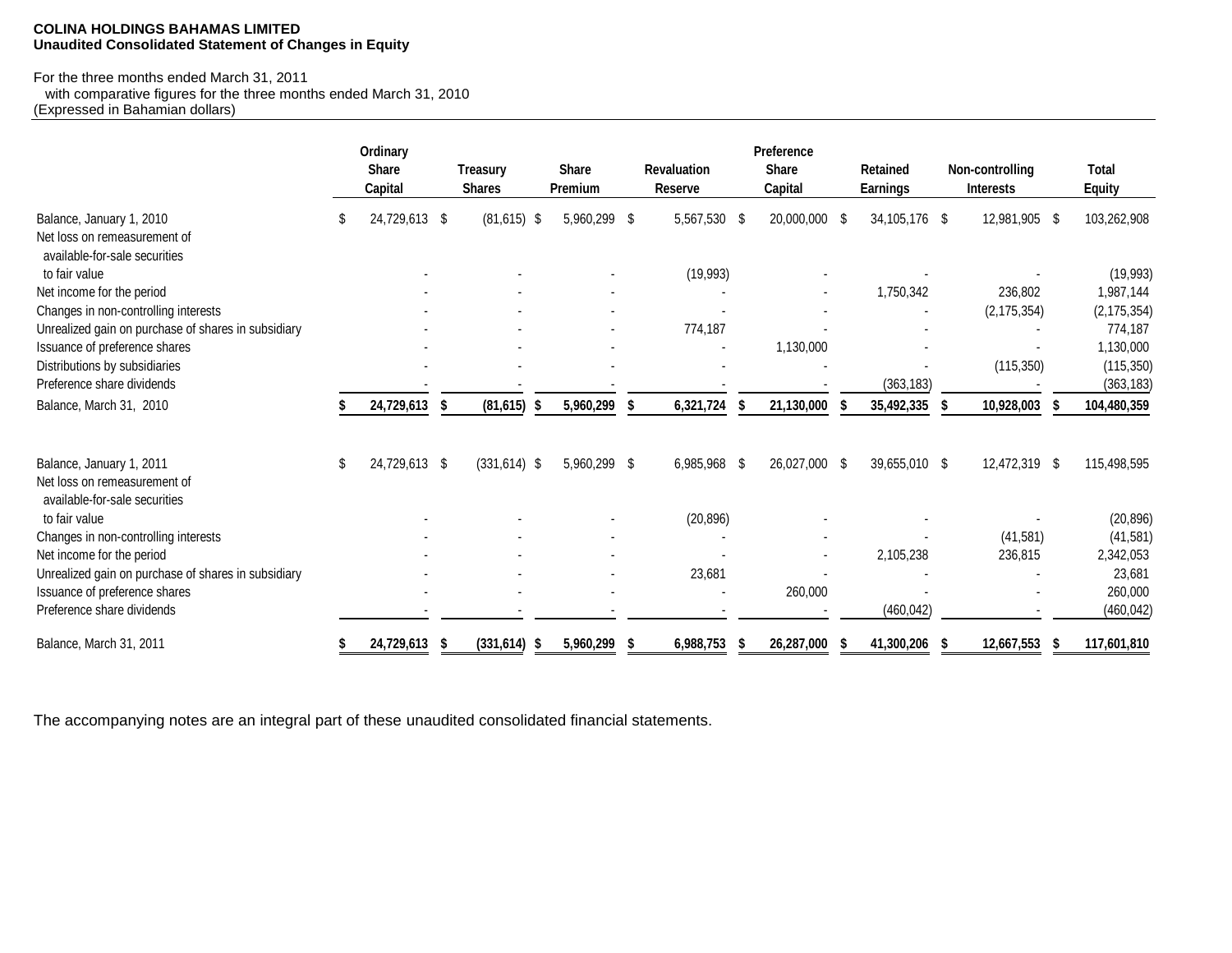### **COLINA HOLDINGS BAHAMAS LIMITED Unaudited Consolidated Statement of Changes in Equity**

## For the three months ended March 31, 2011

 with comparative figures for the three months ended March 31, 2010 (Expressed in Bahamian dollars)

|                                                                                           |    | Ordinary<br><b>Share</b><br>Capital |     | <b>Treasury</b><br><b>Shares</b> | <b>Share</b><br>Premium |   | <b>Revaluation</b><br>Reserve | Preference<br><b>Share</b><br>Capital | <b>Retained</b><br><b>Earnings</b> | Non-controlling<br>Interests | <b>Total</b><br><b>Equity</b> |
|-------------------------------------------------------------------------------------------|----|-------------------------------------|-----|----------------------------------|-------------------------|---|-------------------------------|---------------------------------------|------------------------------------|------------------------------|-------------------------------|
| Balance, January 1, 2010<br>Net loss on remeasurement of<br>available-for-sale securities | S. | 24,729,613 \$                       |     | $(81,615)$ \$                    | 5,960,299 \$            |   | 5,567,530 \$                  | 20,000,000 \$                         | 34,105,176 \$                      | 12,981,905 \$                | 103,262,908                   |
| to fair value                                                                             |    |                                     |     |                                  |                         |   | (19, 993)                     |                                       |                                    |                              | (19, 993)                     |
| Net income for the period                                                                 |    |                                     |     |                                  |                         |   |                               |                                       | 1,750,342                          | 236,802                      | 1,987,144                     |
| Changes in non-controlling interests                                                      |    |                                     |     |                                  |                         |   |                               |                                       |                                    | (2, 175, 354)                | (2, 175, 354)                 |
| Unrealized gain on purchase of shares in subsidiary                                       |    |                                     |     |                                  |                         |   | 774,187                       |                                       |                                    |                              | 774,187                       |
| Issuance of preference shares                                                             |    |                                     |     |                                  |                         |   |                               | 1,130,000                             |                                    |                              | 1,130,000                     |
| Distributions by subsidiaries                                                             |    |                                     |     |                                  |                         |   |                               |                                       |                                    | (115, 350)                   | (115, 350)                    |
| Preference share dividends                                                                |    |                                     |     |                                  |                         |   |                               |                                       | (363, 183)                         |                              | (363, 183)                    |
| Balance, March 31, 2010                                                                   |    | 24,729,613                          | -S  | (81, 615)                        | 5,960,299               |   | 6,321,724                     | 21,130,000                            | 35,492,335                         | 10,928,003                   | 104,480,359                   |
| Balance, January 1, 2011                                                                  | \$ | 24,729,613 \$                       |     | $(331, 614)$ \$                  | 5,960,299 \$            |   | 6,985,968 \$                  | 26,027,000 \$                         | 39,655,010 \$                      | 12,472,319 \$                | 115,498,595                   |
| Net loss on remeasurement of<br>available-for-sale securities                             |    |                                     |     |                                  |                         |   |                               |                                       |                                    |                              |                               |
| to fair value                                                                             |    |                                     |     |                                  |                         |   | (20, 896)                     |                                       |                                    |                              | (20, 896)                     |
| Changes in non-controlling interests                                                      |    |                                     |     |                                  |                         |   |                               |                                       |                                    | (41, 581)                    | (41, 581)                     |
| Net income for the period                                                                 |    |                                     |     |                                  |                         |   |                               |                                       | 2,105,238                          | 236,815                      | 2,342,053                     |
| Unrealized gain on purchase of shares in subsidiary                                       |    |                                     |     |                                  |                         |   | 23,681                        |                                       |                                    |                              | 23,681                        |
| Issuance of preference shares                                                             |    |                                     |     |                                  |                         |   |                               | 260,000                               |                                    |                              | 260,000                       |
| Preference share dividends                                                                |    |                                     |     |                                  |                         |   |                               |                                       | (460, 042)                         |                              | (460, 042)                    |
| Balance, March 31, 2011                                                                   |    | 24,729,613                          | - 5 | (331, 614)                       | 5,960,299               | S | 6,988,753                     | 26,287,000                            | 41,300,206                         | 12,667,553                   | 117,601,810                   |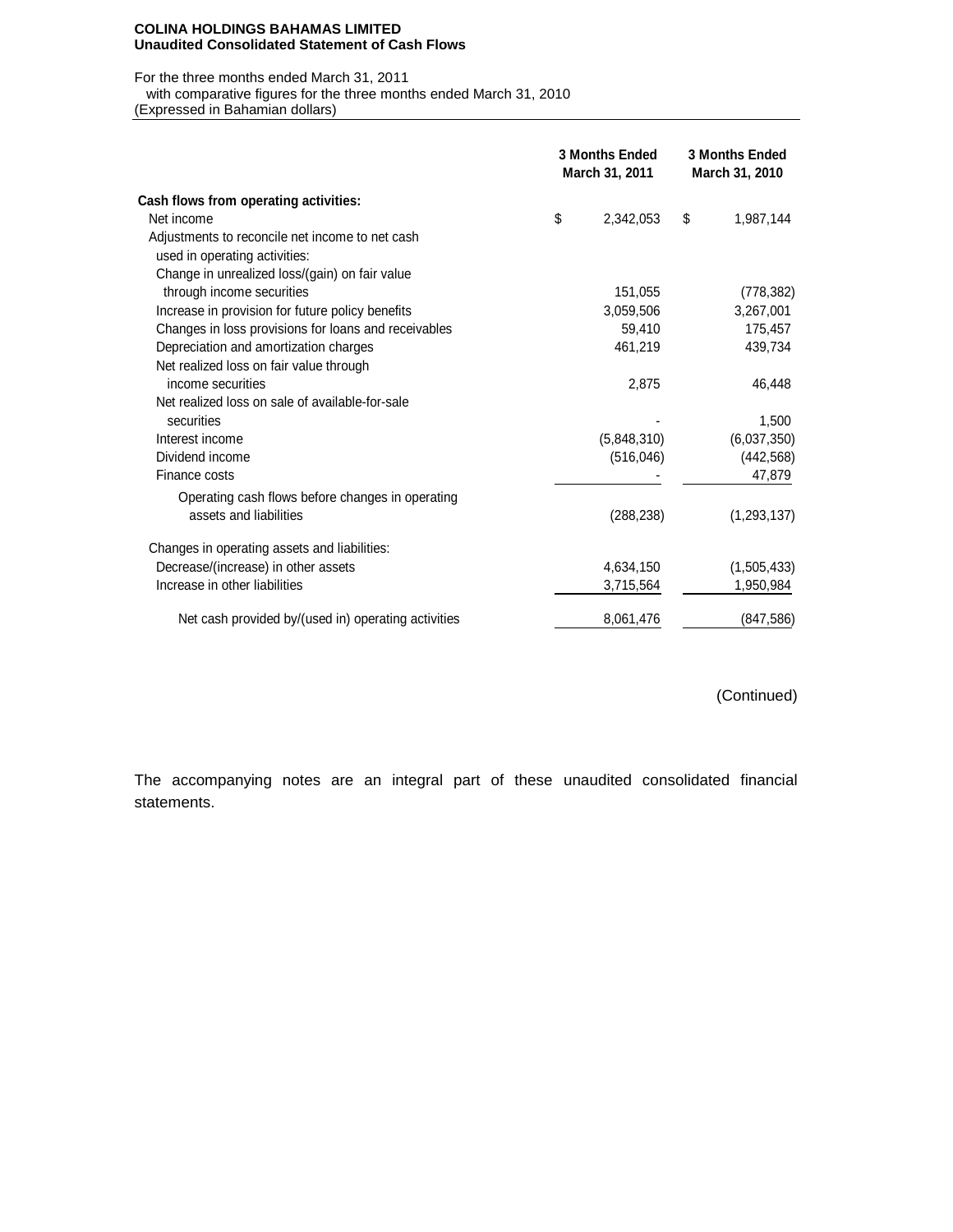#### **COLINA HOLDINGS BAHAMAS LIMITED Unaudited Consolidated Statement of Cash Flows**

### For the three months ended March 31, 2011

with comparative figures for the three months ended March 31, 2010

(Expressed in Bahamian dollars)

|                                                      | <b>3 Months Ended</b><br>March 31, 2011 | <b>3 Months Ended</b><br>March 31, 2010 |               |  |  |
|------------------------------------------------------|-----------------------------------------|-----------------------------------------|---------------|--|--|
| Cash flows from operating activities:                |                                         |                                         |               |  |  |
| Net income                                           | \$<br>2,342,053                         | \$                                      | 1,987,144     |  |  |
| Adjustments to reconcile net income to net cash      |                                         |                                         |               |  |  |
| used in operating activities:                        |                                         |                                         |               |  |  |
| Change in unrealized loss/(gain) on fair value       |                                         |                                         |               |  |  |
| through income securities                            | 151,055                                 |                                         | (778, 382)    |  |  |
| Increase in provision for future policy benefits     | 3,059,506                               |                                         | 3,267,001     |  |  |
| Changes in loss provisions for loans and receivables | 59,410                                  |                                         | 175,457       |  |  |
| Depreciation and amortization charges                | 461,219                                 |                                         | 439,734       |  |  |
| Net realized loss on fair value through              |                                         |                                         |               |  |  |
| income securities                                    | 2,875                                   |                                         | 46,448        |  |  |
| Net realized loss on sale of available-for-sale      |                                         |                                         |               |  |  |
| securities                                           |                                         |                                         | 1,500         |  |  |
| Interest income                                      | (5,848,310)                             |                                         | (6,037,350)   |  |  |
| Dividend income                                      | (516, 046)                              |                                         | (442, 568)    |  |  |
| Finance costs                                        |                                         |                                         | 47,879        |  |  |
| Operating cash flows before changes in operating     |                                         |                                         |               |  |  |
| assets and liabilities                               | (288, 238)                              |                                         | (1, 293, 137) |  |  |
|                                                      |                                         |                                         |               |  |  |
| Changes in operating assets and liabilities:         |                                         |                                         |               |  |  |
| Decrease/(increase) in other assets                  | 4,634,150                               |                                         | (1,505,433)   |  |  |
| Increase in other liabilities                        | 3,715,564                               |                                         | 1,950,984     |  |  |
| Net cash provided by/(used in) operating activities  | 8,061,476                               |                                         | (847, 586)    |  |  |

(Continued)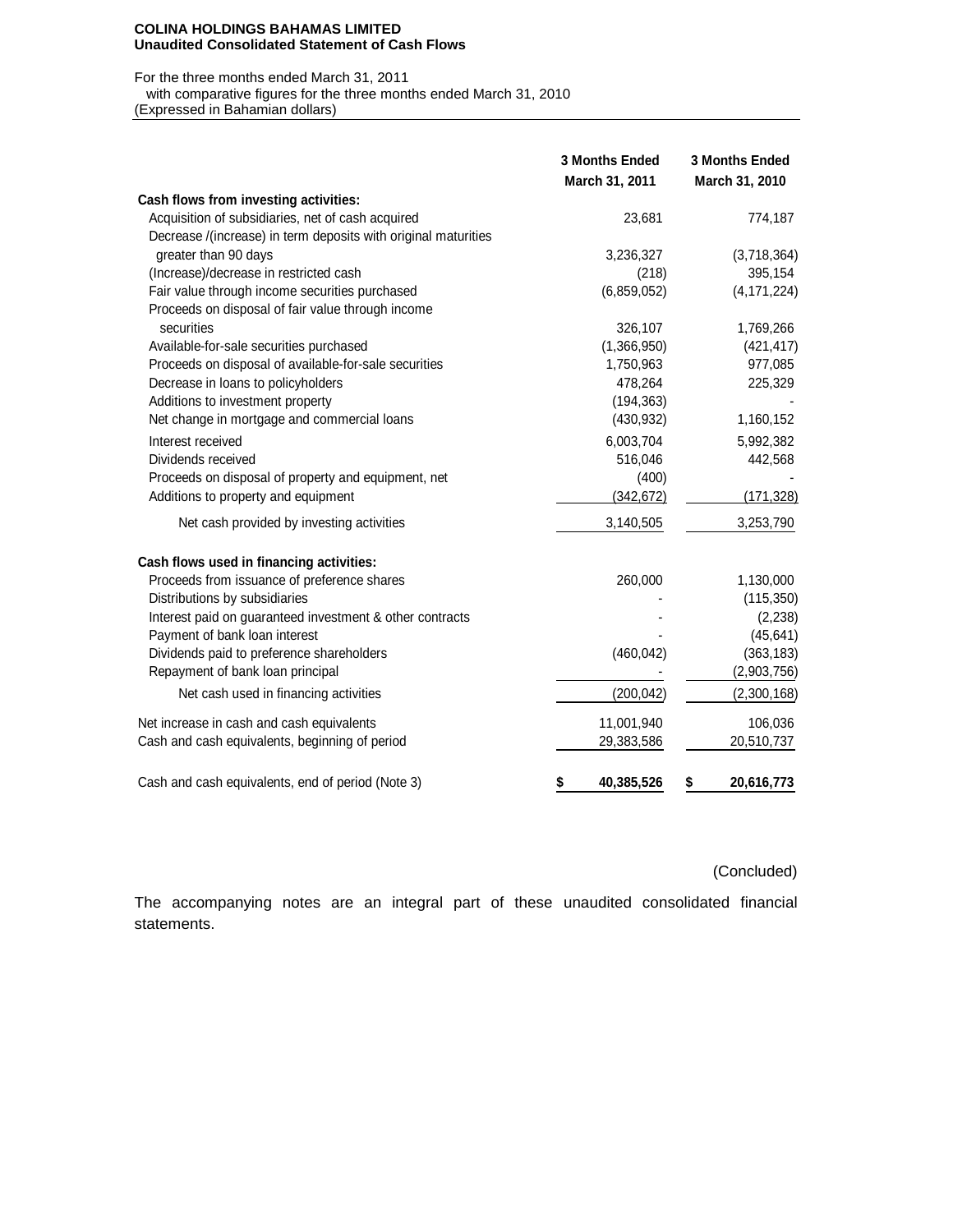#### **COLINA HOLDINGS BAHAMAS LIMITED Unaudited Consolidated Statement of Cash Flows**

### For the three months ended March 31, 2011

with comparative figures for the three months ended March 31, 2010

(Expressed in Bahamian dollars)

|                                                                | <b>3 Months Ended</b><br>March 31, 2011 | <b>3 Months Ended</b><br>March 31, 2010 |
|----------------------------------------------------------------|-----------------------------------------|-----------------------------------------|
| Cash flows from investing activities:                          |                                         |                                         |
| Acquisition of subsidiaries, net of cash acquired              | 23,681                                  | 774,187                                 |
| Decrease /(increase) in term deposits with original maturities |                                         |                                         |
| greater than 90 days                                           | 3,236,327                               | (3,718,364)                             |
| (Increase)/decrease in restricted cash                         | (218)                                   | 395,154                                 |
| Fair value through income securities purchased                 | (6,859,052)                             | (4, 171, 224)                           |
| Proceeds on disposal of fair value through income              |                                         |                                         |
| securities                                                     | 326,107                                 | 1,769,266                               |
| Available-for-sale securities purchased                        | (1,366,950)                             | (421, 417)                              |
| Proceeds on disposal of available-for-sale securities          | 1,750,963                               | 977,085                                 |
| Decrease in loans to policyholders                             | 478,264                                 | 225,329                                 |
| Additions to investment property                               | (194, 363)                              |                                         |
| Net change in mortgage and commercial loans                    | (430, 932)                              | 1,160,152                               |
| Interest received                                              | 6,003,704                               | 5,992,382                               |
| Dividends received                                             | 516,046                                 | 442,568                                 |
| Proceeds on disposal of property and equipment, net            | (400)                                   |                                         |
| Additions to property and equipment                            | (342, 672)                              | (171, 328)                              |
| Net cash provided by investing activities                      | 3,140,505                               | 3,253,790                               |
| Cash flows used in financing activities:                       |                                         |                                         |
| Proceeds from issuance of preference shares                    | 260,000                                 | 1,130,000                               |
| Distributions by subsidiaries                                  |                                         | (115, 350)                              |
| Interest paid on guaranteed investment & other contracts       |                                         | (2, 238)                                |
| Payment of bank loan interest                                  |                                         | (45, 641)                               |
| Dividends paid to preference shareholders                      | (460, 042)                              | (363, 183)                              |
| Repayment of bank loan principal                               |                                         | (2,903,756)                             |
| Net cash used in financing activities                          | (200, 042)                              | (2,300,168)                             |
| Net increase in cash and cash equivalents                      | 11,001,940                              | 106,036                                 |
| Cash and cash equivalents, beginning of period                 | 29,383,586                              | 20,510,737                              |
| Cash and cash equivalents, end of period (Note 3)              | 40,385,526<br>\$                        | 20,616,773<br>\$                        |

(Concluded)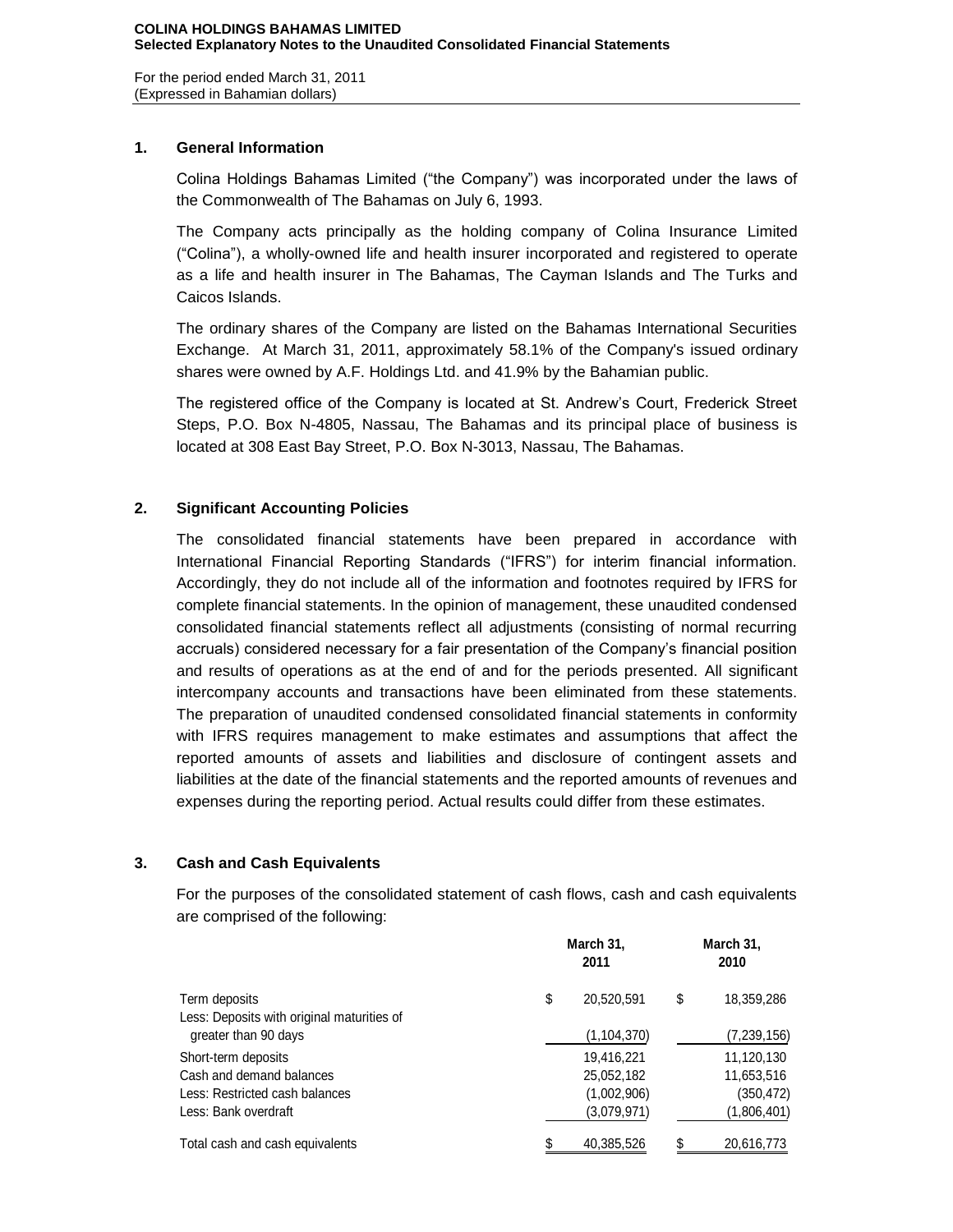For the period ended March 31, 2011 (Expressed in Bahamian dollars)

## **1. General Information**

Colina Holdings Bahamas Limited ("the Company") was incorporated under the laws of the Commonwealth of The Bahamas on July 6, 1993.

The Company acts principally as the holding company of Colina Insurance Limited ("Colina"), a wholly-owned life and health insurer incorporated and registered to operate as a life and health insurer in The Bahamas, The Cayman Islands and The Turks and Caicos Islands.

The ordinary shares of the Company are listed on the Bahamas International Securities Exchange. At March 31, 2011, approximately 58.1% of the Company's issued ordinary shares were owned by A.F. Holdings Ltd. and 41.9% by the Bahamian public.

The registered office of the Company is located at St. Andrew's Court, Frederick Street Steps, P.O. Box N-4805, Nassau, The Bahamas and its principal place of business is located at 308 East Bay Street, P.O. Box N-3013, Nassau, The Bahamas.

# **2. Significant Accounting Policies**

The consolidated financial statements have been prepared in accordance with International Financial Reporting Standards ("IFRS") for interim financial information. Accordingly, they do not include all of the information and footnotes required by IFRS for complete financial statements. In the opinion of management, these unaudited condensed consolidated financial statements reflect all adjustments (consisting of normal recurring accruals) considered necessary for a fair presentation of the Company's financial position and results of operations as at the end of and for the periods presented. All significant intercompany accounts and transactions have been eliminated from these statements. The preparation of unaudited condensed consolidated financial statements in conformity with IFRS requires management to make estimates and assumptions that affect the reported amounts of assets and liabilities and disclosure of contingent assets and liabilities at the date of the financial statements and the reported amounts of revenues and expenses during the reporting period. Actual results could differ from these estimates.

# **3. Cash and Cash Equivalents**

For the purposes of the consolidated statement of cash flows, cash and cash equivalents are comprised of the following:

| Term deposits                              | March 31,<br>2011 | March 31,<br>2010 |             |  |  |
|--------------------------------------------|-------------------|-------------------|-------------|--|--|
|                                            | \$<br>20,520,591  | \$                | 18,359,286  |  |  |
| Less: Deposits with original maturities of |                   |                   |             |  |  |
| greater than 90 days                       | (1, 104, 370)     |                   | (7,239,156) |  |  |
| Short-term deposits                        | 19,416,221        |                   | 11,120,130  |  |  |
| Cash and demand balances                   | 25,052,182        |                   | 11,653,516  |  |  |
| Less: Restricted cash balances             | (1,002,906)       |                   | (350, 472)  |  |  |
| Less: Bank overdraft                       | (3.079.971)       |                   | (1,806,401) |  |  |
| Total cash and cash equivalents            | 40,385,526        |                   | 20,616,773  |  |  |